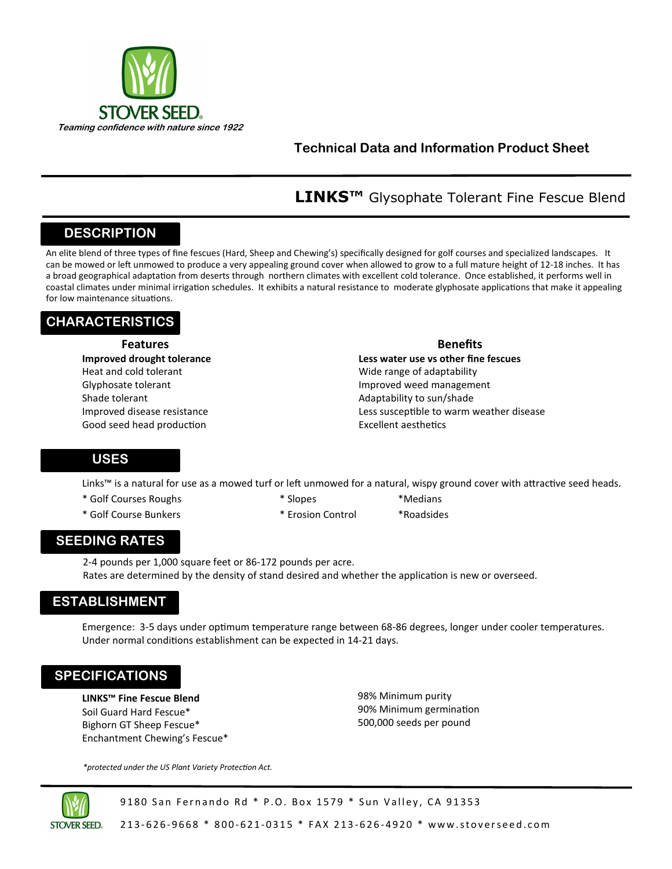

## **Technical Data and Information Product Sheet**

# **LINKS™** Glysophate Tolerant Fine Fescue Blend

## **DESCRIPTION**

An elite blend of three types of fine fescues (Hard, Sheep and Chewing's) specifically designed for golf courses and specialized landscapes. It can be mowed or left unmowed to produce a very appealing ground cover when allowed to grow to a full mature height of 12-18 inches. It has a broad geographical adaptation from deserts through northern climates with excellent cold tolerance. Once established, it performs well in coastal climates under minimal irrigation schedules. It exhibits a natural resistance to moderate glyphosate applications that make it appealing for low maintenance situations.

## **CHARACTERISTICS**

Heat and cold tolerant Theorem 2012 Collection of the Wide range of adaptability Glyphosate tolerant The Improved weed management Shade tolerant and a state of the Adaptability to sun/shade Good seed head production Excellent aesthetics excellent aesthetics

**Features Benefits Improved drought tolerance Less water use vs other fine fescues** Improved disease resistance and the Less susceptible to warm weather disease

## **USES**

Links™ is a natural for use as a mowed turf or left unmowed for a natural, wispy ground cover with attractive seed heads.

- \* Golf Courses Roughs \* Slopes \*Medians
- \* Golf Course Bunkers \* Erosion Control \*Roadsides
- 
- 

## **SEEDING RATES**

2-4 pounds per 1,000 square feet or 86-172 pounds per acre. Rates are determined by the density of stand desired and whether the application is new or overseed.

## **ESTABLISHMENT**

Emergence: 3-5 days under optimum temperature range between 68-86 degrees, longer under cooler temperatures. Under normal conditions establishment can be expected in 14-21 days.

## **SPECIFICATIONS**

**LINKS™ Fine Fescue Blend**  Soil Guard Hard Fescue\* Bighorn GT Sheep Fescue\* Enchantment Chewing's Fescue\* 98% Minimum purity 90% Minimum germination 500,000 seeds per pound

\*protected under the US Plant Variety Protection Act.



9180 San Fernando Rd \* P.O. Box 1579 \* Sun Valley, CA 91353 213-626-9668 \* 800-621-0315 \* FAX 213-626-4920 \* www.stoverseed.com